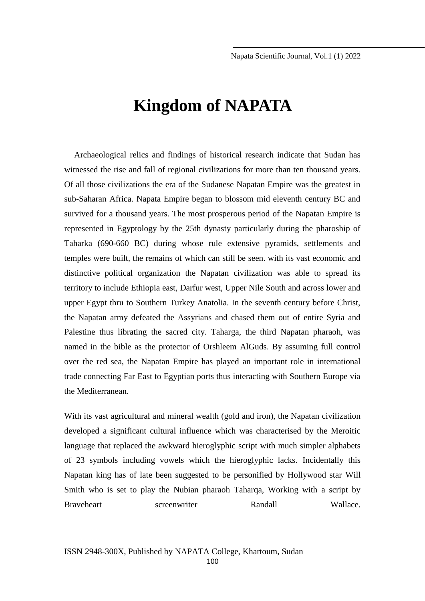## **Kingdom of NAPATA**

 Archaeological relics and findings of historical research indicate that Sudan has witnessed the rise and fall of regional civilizations for more than ten thousand years. Of all those civilizations the era of the Sudanese Napatan Empire was the greatest in sub-Saharan Africa. Napata Empire began to blossom mid eleventh century BC and survived for a thousand years. The most prosperous period of the Napatan Empire is represented in Egyptology by the 25th dynasty particularly during the pharoship of Taharka (690-660 BC) during whose rule extensive pyramids, settlements and temples were built, the remains of which can still be seen. with its vast economic and distinctive political organization the Napatan civilization was able to spread its territory to include Ethiopia east, Darfur west, Upper Nile South and across lower and upper Egypt thru to Southern Turkey Anatolia. In the seventh century before Christ, the Napatan army defeated the Assyrians and chased them out of entire Syria and Palestine thus librating the sacred city. Taharga, the third Napatan pharaoh, was named in the bible as the protector of Orshleem AlGuds. By assuming full control over the red sea, the Napatan Empire has played an important role in international trade connecting Far East to Egyptian ports thus interacting with Southern Europe via the Mediterranean.

With its vast agricultural and mineral wealth (gold and iron), the Napatan civilization developed a significant cultural influence which was characterised by the Meroitic language that replaced the awkward hieroglyphic script with much simpler alphabets of 23 symbols including vowels which the hieroglyphic lacks. Incidentally this Napatan king has of late been suggested to be personified by Hollywood star Will Smith who is set to play the Nubian pharaoh Taharqa, Working with a script by Braveheart screenwriter Randall Wallace.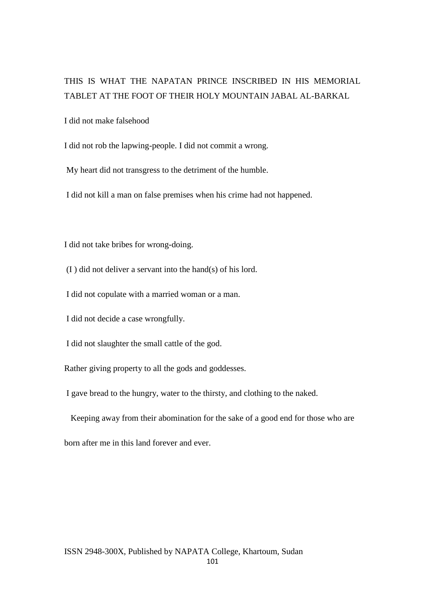THIS IS WHAT THE NAPATAN PRINCE INSCRIBED IN HIS MEMORIAL TABLET AT THE FOOT OF THEIR HOLY MOUNTAIN JABAL AL-BARKAL

I did not make falsehood

I did not rob the lapwing-people. I did not commit a wrong.

My heart did not transgress to the detriment of the humble.

I did not kill a man on false premises when his crime had not happened.

I did not take bribes for wrong-doing.

 $(I)$  did not deliver a servant into the hand(s) of his lord.

I did not copulate with a married woman or a man.

I did not decide a case wrongfully.

I did not slaughter the small cattle of the god.

Rather giving property to all the gods and goddesses.

I gave bread to the hungry, water to the thirsty, and clothing to the naked.

Keeping away from their abomination for the sake of a good end for those who are

born after me in this land forever and ever.